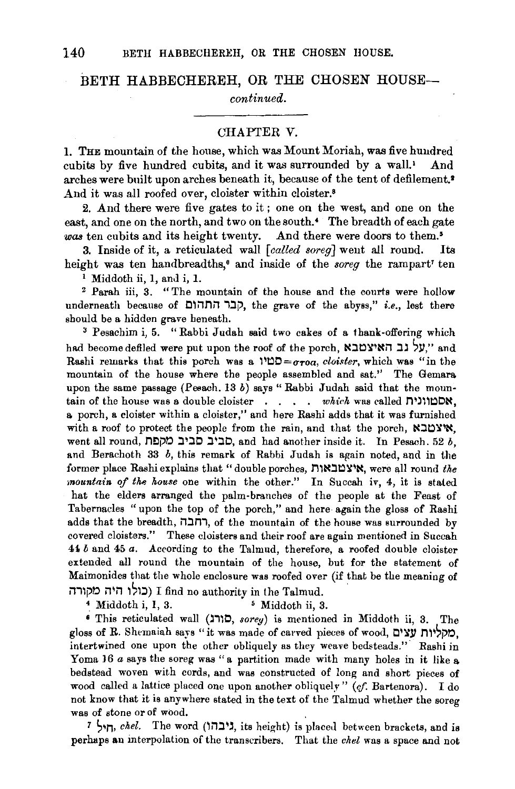## BETH HABBECHEREH, OR THE CHOSEN HOUSE-

*continued.* 

## CHAPTER V.

1. THE mountain of the house, which was Mount Moriah, was five hundred cubits by five hundred cubits, and it was surrounded by a wall.<sup>1</sup> And arches were built upon arches beneath it, because of the tent of defilement.• And it was all roofed over, cloister within cloister.<sup>8</sup>

2. And there were five gates to it ; one on the west, and one on the east, and one on the north, and two on the south.<sup>4</sup> The breadth of each gate was ten cubits and its height twenty. And there were doors to them.<sup>5</sup>

3. Inside of it, a reticulated wall *[called soreg]* went all round. Its height was ten handbreadths,• and inside of the *soreg* the rampart' ten

<sup>1</sup> Middoth ii, 1, and i, 1.<br><sup>2</sup> Parah iii, 3. "The mountain of the house and the courts were hollow underneath because of 1Hin 1Hp, the grave of the abyss," *i.e.*, lest there should be a hidden grave beneath.<br><sup>3</sup> Pesachim i, 5. "Rabbi Judah said two cakes of a thank-offering which

had become defiled were put upon the roof of the porch, "על גב האיצטבי"." Rashi remarks that this porch was a  $10D = \sigma \tau$ oa, *cloister*, which was "in the mountain of the house where the people assembled and sat.'' The Gemara. upon the same passage (Pesach. 13  $b$ ) says "Rabbi Judah said that the mountain of the house was a double cloister . . . . which was called NOM, a. porch, a cloister within a. cloister," and here Rashi adds that it was furnished with a roof to protect the people from the rain, and that the porch,  $\mathcal{X}$ צטבא. went all round, **הביב סביב מקפח**, and had another inside it. In Pesach. 52 *b*, and Berachoth 33 *b,* this remark of Rabbi Judah is again noted, and in the former place Rashi explains that "double porches, M\~.lt::l~~~. were all round *the mountain of the house* one within the other." In Succah iv, 4, it is stated hat the elders arranged the palm-branches of the people at the Feast of Tabernacles "upon the top of the porch," and here again the gloss of Rashi adds that the breadth, רחבה, of the mountain of the house was surrounded by covered cloisters." These cloisters and their roof are again mentioned in Succah 4i *b* and 45 *a.* According to the Talmud, therefore, a. roofed double cloister extended all round the mountain of the house, but for the statement of Maimonides that the whole enclosure was roofed over (if that be the meaning of בולו היה מקורה) I find no authority in the Talmud.<br>4 Middoth i, 1, 3. 5 Middoth ii, 3.

• This reticulated wall (~1\0, *sorey)* is mentioned in Middoth ii, 3. The gloss of R. Shemaiah says "it was made of carved pieces of wood, c $2$ כולוות עצים, intertwined one upon the other obliquely as they weave bedsteads." Rashi in Yoma 16  $a$  says the soreg was "a partition made with many holes in it like a bedstead woven with cords, and was constructed of long and short pieces of wood called a lattice placed one upon another obliquely" (cf. Bartenora). I do not know that it is anywhere stated in the text of the Talmud whether the soreg was of stone or of wood.

7 הול, *chel.* The word (גיבהו, its height) is placed between brackets, and is perhaps an interpolation of the transcribers. That the *chel* was a space and not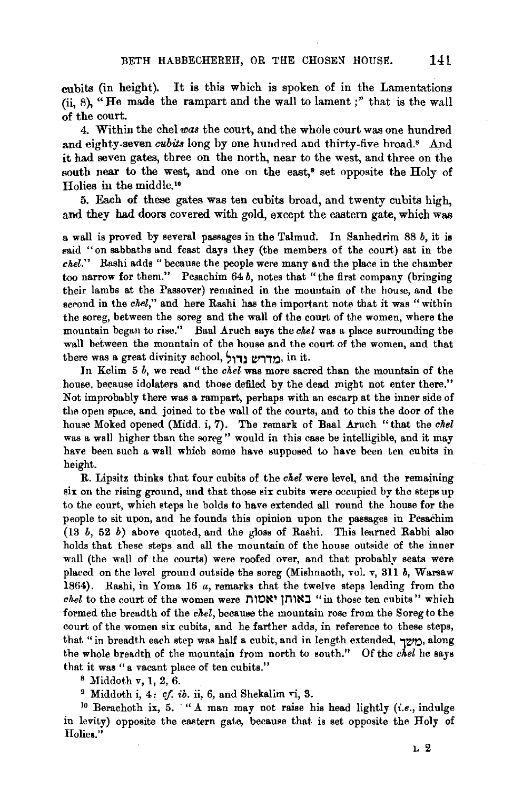cubits (in height). It is this which is spoken of in the Lamentations (ii,  $8$ ), "He made the rampart and the wall to lament;" that is the wall of the court.

4. Within the chel *was* the court, and the whole court was one hundred and eighty-seven *cubits* long by one hundred and thirty-five broad.<sup>s</sup> And it had seven gates, three on the north, near to the west, and three on the south near to the west, and one on the east,<sup> $\theta$ </sup> set opposite the Holy of Holies in the middle.!•

5. Each of these gates was ten cubits broad, and twenty cubits high, and they had doors covered with gold, except the eastern gate, which was

a wall is proved by several passages in the Talmud. In Sanhedrim 88 *b,* it is eaid "on sabbaths and feast days they (the members of the court) sat in the *chel."* Rashi adds "because the people were many and the place in the chamber too narrow for them." Pesachim  $64 b$ , notes that "the first company (bringing their lambs at the Passover) remained in the mountain of the house, and the second in the *chel*," and here Rashi has the important note that it was "within the soreg, between the soreg and the wall of the court of the women, where the mountain began to rise." Baal Aruch says the *chel* was a place surrounding the wall between the mountain of the house and the court of the women, and that there was a great divinity school, מדרש נדול. in it.

In Kelim 5 *b,* we read " the *chel* was more sacred than the mountain of the house, because idolaters and those defiled by the dead might not enter there." Not improbably there was a rampart, perhaps with an escarp at the inner side of the open space, and joined to the wall of the courts, and to this the door of the house Moked opened (Midd. i, 7). The remark of Baal Aruch "that the *chel*  was a wall higher than the soreg" would in this case be intelligible, and it may have been such a wall which some have supposed to have been ten cubits in height.

R. Lipsitz thinks that four cubits of the *chel* were level, and the remaining six on the rising ground, and that those six cubits were occupied by the steps up to the court, which steps he bolds to have extended all round the house for the people to sit upon, and he founds this opinion upon the passages in Pesachim  $(13\;b,\;52\;b)$  above quoted, and the gloss of Rashi. This learned Rabbi also holds that these steps and all the mountain of the house outside of the inner wall (the wall of the courts) were roofed over, and that probably seats were placed on the level ground outside the soreg (Mishnaoth, vol. v, 311 *b,* Warsaw 1864). Rashi, in Yoma 16 *a,* remarks that the twelve steps leading from the *chel* to the court of the women were n'O~' tm~:::J. "in those ten cubits" which formed the breadth of the *chel,* because the mountain rose from the Soreg to the court of the women six cubits, and he farther adds, in reference to these steps, that "in breadth each step was half a cubit, and in length extended,  $\neg \psi$ , along the whole breadth of the mountain from north to south." Of the *ckel* he says that it was "a vacant place of ten cubits."<br><sup>8</sup> Middoth v, 1, 2, 6.<br><sup>9</sup> Middoth i, 4: *cf. ib.* ii, 6, and Shekalim vi, 3.<br><sup>10</sup> Berachoth ix, 5. "A man may not raise his head lightly *(i.e.*, indulge

in levity) opposite the eastern gate, because that is set opposite the Holy of Holies."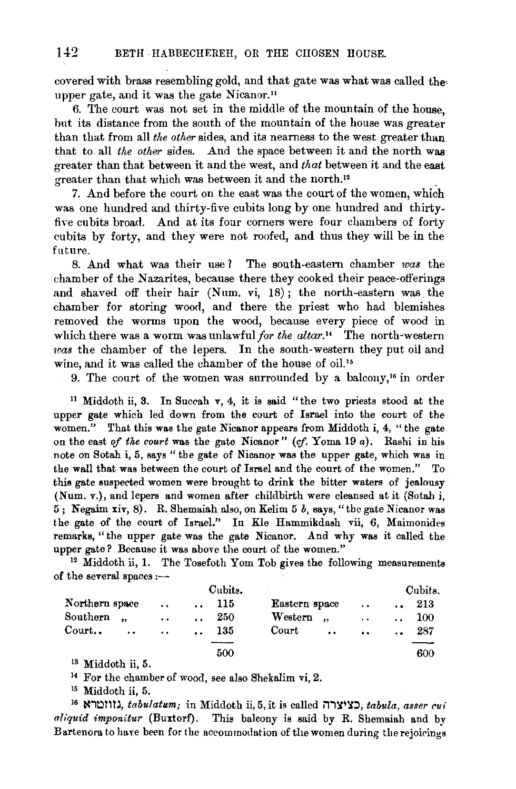covered with brass resembling gold, and that gate was what was called the, upper gate, and it was the gate Nicanor."

6. The court was not set in the middle of the mountain of the house, but its distance from the south of the mountain of the house was greater than that from all *the other* sides, and its nearness to the west greater than that to all *the other* sides. And the space between it and the north was greater than that between it and the west, and *that* between it and the east greater than that which was between it and the north.12 •

7. And before the court on the east was the court of the women, which was one hundred and thirty-five cubits long by one hundred and thirtyfive cubits broad. And at its four corners were four chambers of forty cubits by forty, and they were not roofed, and thus they will be in the future.

8. And what was their use 1 The south-eastern chamber *was* the chamber of the Nazarites, because there they cooked their peace-offerings and shaved off their hair (Num. vi, 18); the north-eastern was the chamber for storing wood, and there the priest who had blemishes removed the worms upon the wood, because every piece of wood in which there was a worm was unlawful *for the altar*.<sup>14</sup> The north-western *tvas* the chamber of the lepers. In the south-western they put oil and wine, and it was called the chamber of the house of oil.<sup>15</sup>

9. The court of the women was surrounded by a balcony,<sup>16</sup> in order

<sup>11</sup>Middoth ii, 3. In Succah v, 4, it is said "the two priests stood at the upper gate which led down from the court of Israel into the court of the women." That this was the gate Nicanor appears from Middoth i, 4, "the gate on the east of the court was the gate Nicanor" (cf. Yoma 19 *a*). Rashi in his note on Sotah i, 5, says" the gate of Nicanor was the upper gate, which was in the wall that was between the court of Israel and the court of the women." To this gate suspected women were brought to drink the bitter waters of jealousy (Num. v.), and lepers and women after childbirth were cleansed at it (Sotah i, 5 ; N egaim xiv, 8). R. Shemaiah also, on Kelim 5 *b,* says, "the gate Nicanor was the gate of the court of Israel." In Kle Hammikdash vii, 6, Maimonides remarks, "the upper gate was the gate Nicanor. And why was it called the upper gate? Because it was above the court of the women." 12 Middoth ii, **1.** The Tosefoth Yom Tob gives the following measurements

of the several spaces  $:$ ---

|                 |                      | Cubits.              |     |                               |                      |                      |     |
|-----------------|----------------------|----------------------|-----|-------------------------------|----------------------|----------------------|-----|
| Northern space  | $\sim 10^{-11}$      | $\mathbf{a}$         | 115 | Eastern space                 | $\ddotsc$            | $\ddot{\phantom{a}}$ | 213 |
| Southern,       | $\ddot{\phantom{a}}$ | $\ddot{\phantom{a}}$ | 250 | Western                       | $\ddotsc$            | $\ddot{\phantom{a}}$ | 100 |
| $\text{Court.}$ |                      | $\ddotsc$            | 135 | Court<br>$\ddot{\phantom{a}}$ | $\ddot{\phantom{a}}$ | $\ddot{\phantom{a}}$ | 287 |
|                 |                      |                      | 500 |                               |                      |                      | 600 |

<sup>13</sup> Middoth ii, 5.<br><sup>14</sup> For the chamber of wood, see also Shekalim vi, 2*.*<br><sup>15</sup> Middoth ii, 5.

16 N, tabulatum; in Middoth ii, 5, it is called , $\mathbf{x}$ עציצרה,  $tabula,$  asser cui *aliquid 1:mponitur* (Buxtorf). This balcony is said by R. Shemaiah and by Bartenora to have been for the accommodation of the women during the rejoicings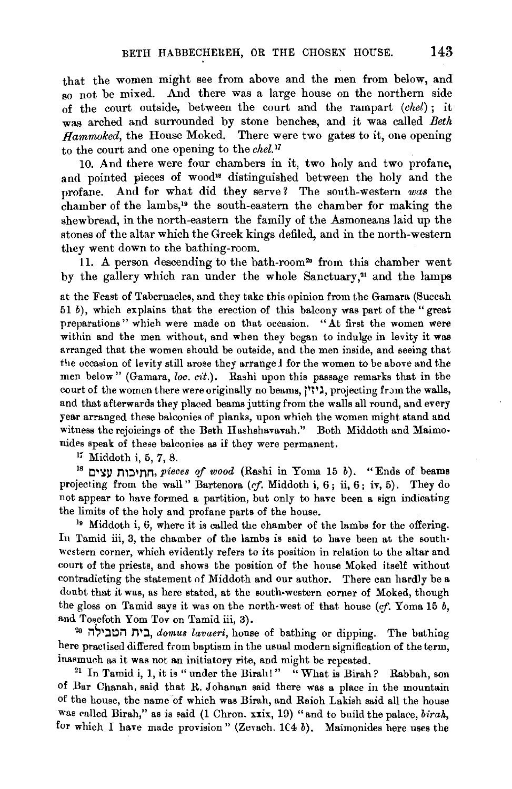that the women might see from above and the men from below, and so not be mixed. And there was a large house on the northern side of the court outside, between the court and the rampart *(chel);* it was arched and surrounded by stone benches, and it was called *Beth Hammoked,* the House Moked. There were two gates to it, one opening to the court and one opening to the *chel. <sup>1</sup>*

10. And there were four chambers in it, two holy and two profane, and pointed pieces of wood<sup>18</sup> distinguished between the holy and the profane. And for what did they serve? The south-western was the chamber of the lambs,19 the south-eastem the chamber for making the shewbread, in the north-eastem the family of the Asmoneans laid up the stones of the altar which the Greek kings defiled, and in the north-westem they went down to the bathing-room.

11. A person descending to the bath-room<sup>20</sup> from this chamber went by the gallery which ran under the whole Sanctuary,<sup>21</sup> and the lamps

at the Feast of Tabernacles, and they take this opinion from the Gamara (Succah 51 b), which explains that the erection of this balcony was part of the "great" preparations" which were made on that occasion. "At first the women were within and the men without, and when they began to indulge in levity it was arranged that the women should be outside, and the men inside, and seeing that the occasion of levity still arose they arrange 1 for the women to be above and the men below" (Gamara, *loc. cit.*). Rashi upon this passage remarks that in the court of the women there were originally no beams, "וֹין, projecting from the walls, and that afterwards they placed beams jutting from the walls all round, and every year arranged these balconies of planks, upon which the women might stand and witness the rejoicings of the Beth Hashshavavah." Both Middoth and Maimo· nides speak of these balconies as if they were permanent.<br> $\frac{17}{16}$  Middoth i, 5, 7, 8.

<sup>18</sup> Indis of *pieces of wood* (Rashi in Yoma 15 b). "Ends of beams projecting from the wall" Bartenora (cf. Middoth i, 6; ii, 6; iv, 5). They do not appear to have formed a partition, but only to have been a sign indicating the limits of the holy and profane parts of the house.<br><sup>19</sup> Middoth i, 6, where it is called the chamber of the lambs for the offering.

In Tamid iii, 3, the chamber of the lambs is said to have been at the south· western corner, which evidently refers to its position in relation to the altar and court of the priests, and shows the position of the house Moked itself without contradicting the statement of Middoth and our author. There can hardly be a doubt that it was, as here stated, at the south-western corner of Moked, though the gloss on Tamid says it was on the north-west of that house (cf. Yoma 15 *b,*  and Tosefoth Yom Tov on Tamid iii, 3).<br>20 **20 in** :1*tomus lavaeri*, house of bathing or dipping. The bathing

here practised differed from baptism in the usual modern signification of the term, inasmuch as it was not an initiatory rite, and might be repeated. 21 In Tamid i, 1, it is "under the Birah!" "What is Birah? Rabbah, son

of Bar Chanah, said that R. Johanan said there was a place in the mountain of the house, the name 'of which was Birah, and Raioh Lakish said all the house was called Birah," as is said (1 Chron. xxix, 19) "and to build the palace, *birah*, for which I have made provision" (Zevach.  $1(4 b)$ . Maimonides here uses the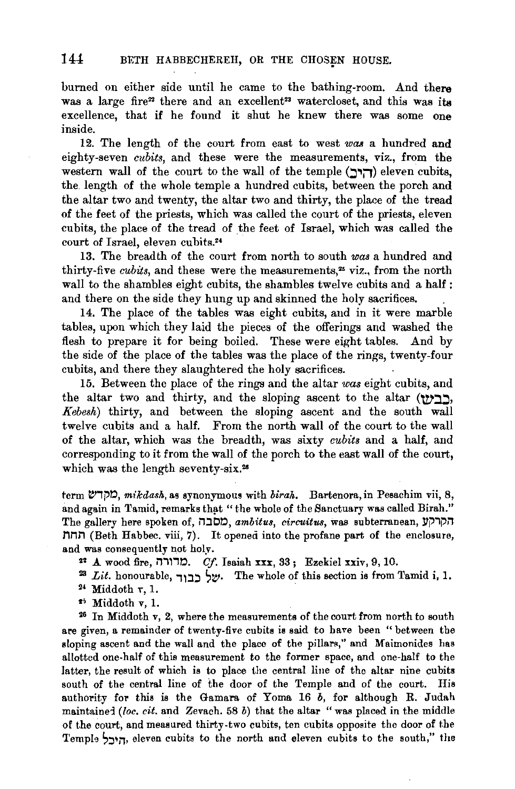burned on either side until he came to the bathing-room. And there was a large fire<sup>22</sup> there and an excellent<sup>23</sup> watercloset, and this was its excellence, that if he found it shut he knew there was some one inside.

12. The length of the court from east to west *waa* a hundred and eighty-seven *cubits*, and these were the measurements, viz., from the western wall of the court to the wall of the temple ( $\Box$ ור) eleven cubits, the length of the whole temple a hundred cubits, between the porch and the altar two and twenty, the altar two and thirty, the place of the tread of the feet of the priests, which was called the court of the priests, eleven cubits, the place of the tread of the feet of Israel, which was called the court of Israel, eleven cubits.<sup>24</sup>

13. The breadth of the court from north to south *was* a hundred and thirty-five *cubits*, and these were the measurements,<sup>25</sup> viz., from the north wall to the shambles eight cubits, the shambles twelve cubits and a half: and there on the side they hung up and skinned the holy sacrifices.

14. The place of the tables was eight cubits, and in it were marble tables, upon which they laid the pieces of the offerings and washed the flesh to prepare it for being boiled. These were eight tables. And by the side of the place of the tables was the place of the rings, twenty-four cubits, and there they slaughtered the holy sacrifices.

15. Between the place of the rings and the altar *was* eight cubits, and the altar two and thirty, and the sloping ascent to the altar  $(Y)$ . *Kebesh)* thirty, and between the sloping ascent and the south wall twelve cubits and a half. From the north wall of the court to the wall of the altar, which was the breadth, was sixty *cubits* and a half, and corresponding to it from the wall of the porch to the east wall of the court, which was the length seventy-six.<sup>26</sup>

term  $\mathcal{C}$ (I), *mikdash*, as synonymous with *birah.* Bartenora, in Pesachim vii, 8, and again in Tamid, remarks that "the whole of the Sanctuary was called Birah." The gallery here spoken of, *חסבה, ambitus, circuitus*, was subterranean, h *nnn* (Beth Habbec. viii, 7). It opened into the profane part of the enclosure, and was consequently not holy.<br><sup>22</sup> A wood fire, ברוורה, Cf. Isaiah xxx, 33; Ezekiel xxiv, 9, 10.

<sup>23</sup> Lit. honourable,  $\forall x$ : Widdoth  $r, 1$ .<br><sup>24</sup> Middoth  $r, 1$ .

 $*$  Middoth v, 1.<br> $*$  In Middoth v, 2, where the measurements of the court from north to south are given, a remainder of twenty-five cubits is said to have been "between the sloping ascent and the wall and the place of the pillars," and Maimonides has allotted one-half of this measurement to the former space, and one-half to the latter, the result of which is to place the central line of the altar nine cubits south of the central line of the door of the Temple and of the court. His authority for this is the Gamara of Yoma 16  $b$ , for although R. Judah maintainei *(loc. cit.* and Zevach. 58 b) that the altar "was placed in the middle of the court, and measured thirty-two cubits, ten cubits opposite the door of the Temple הירל eleven cubits to the north and eleven cubits to the south," the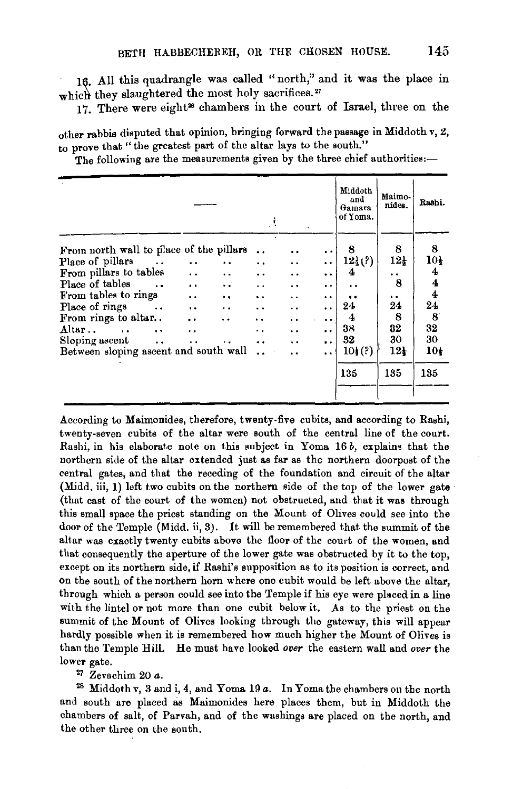16. All this quadrangle was called "north," and it was the place in which they slaughtered the most holy sacrifices.<sup>27</sup>

17. There were eight<sup>28</sup> chambers in the court of Israel, three on the

other rabbis disputed that opinion, bringing forward the passage in Middoth v, 2, to prove that "the greatest part of the altar lays to the south."

The following are the measurements given by the three chief authorities:-

|                                                  |                      |                      | J.                   |                      |                      | Middoth<br>and<br>Gamara<br>of Yoma. | Maimo b<br>nides.  | Rashi.          |
|--------------------------------------------------|----------------------|----------------------|----------------------|----------------------|----------------------|--------------------------------------|--------------------|-----------------|
| From north wall to place of the pillars          |                      |                      |                      |                      | $\ddot{\phantom{1}}$ | 8                                    | 8                  | 8               |
| Place of pillars<br>$\sim$ 100 $\pm$             | $\ddotsc$            | $\ddot{\phantom{0}}$ |                      | $\ddot{\phantom{0}}$ | $\ddot{\phantom{0}}$ | $12\frac{1}{2}$ (?)                  | $12_{\frac{1}{2}}$ | 10 <sub>t</sub> |
| From pillars to tables                           | $\ddot{\phantom{1}}$ | $\ddot{\phantom{1}}$ | . .                  | ٠.                   | $\ddot{\phantom{0}}$ | 4                                    | . .                | 4               |
| Place of tables                                  | $\ddot{\phantom{0}}$ | $\ddotsc$            | $\ddot{\phantom{0}}$ | . .                  | $\ddot{\phantom{0}}$ | . .                                  | 8                  | 4               |
| From tables to rings                             | $\ddot{\phantom{0}}$ | $\ddot{\phantom{a}}$ | $\ddot{\phantom{1}}$ | . .                  | $\ddot{\phantom{0}}$ | $\bullet$                            | . .                | 4               |
| Place of rings<br><b>Contract Contract</b>       | $\ddot{\phantom{a}}$ | $\ddot{\phantom{0}}$ | $\ddot{\phantom{1}}$ | ٠.                   | . .                  | 24                                   | 24                 | 24              |
| From rings to altur                              | $\ddot{\phantom{0}}$ | . .                  | ٠.                   | . .                  | $\cdot$              | 4                                    | 8                  | 8               |
| Altar<br>$\cdot$ $\cdot$<br>$\ddot{\phantom{a}}$ | $\ddot{\phantom{0}}$ |                      | . .                  | $\cdot$ $\cdot$      | $\ddot{\phantom{0}}$ | 38                                   | 32                 | 32              |
| Sloping ascent<br>$\ddot{\phantom{0}}$           | $\ddot{\phantom{0}}$ | $\ddot{\phantom{0}}$ | $\ddot{\phantom{0}}$ | $\ddot{\phantom{0}}$ | $\ddot{\phantom{0}}$ | 32                                   | 30                 | 30              |
| Between sloping ascent and south wall            |                      |                      |                      | . .                  | $\ddot{\phantom{1}}$ | 10(?)                                | $12\frac{1}{2}$    | 10 <sub>t</sub> |
|                                                  |                      |                      |                      |                      |                      | 135                                  | 135                | 135             |
|                                                  |                      |                      |                      |                      |                      |                                      |                    |                 |

According to Maimonides, therefore, twenty· five cubits, and according to Rashi, twenty-seven cubits of the altar were south of the central line of the court. Rashi, in his elaborate note on this subject in Yoma 16 *b,* explains that the northern side of the altar extended just as far as the northern doorpost of the central gates, and that the receding of the foundation and circuit of the altar (Midd. iii, 1) left two cubits on the northern side of the top of the lower gate (that east of the court of the women) not obstructed, and that it was through this small space the priest standing on the Mount of Ohves could see into the door of the Temple (Midd. ii, 3). It will be remembered that the summit of the altar was exactly twenty cubits above the floor of the court of the women, and that consequently the aperture of the lower gate was obstructed by it to the top, except on its northern side, if Rashi's supposition as to its position is correct, and on the south of the northern horn where one cubit would be left above the altar, through which a person could see into the Temple if his eye were placed in a line with the lintel or not more than one cubit below it. As to the priest on the summit of the Mount of Olives looking through the gateway, this will appear hardly possible when it is remembered how much higher the Mount of Olives is than the Temple Hill. He must have looked *over* the eastern wall and *over* the lower gate. 27 Zevachim 20 *a.* 

28 Middoth v, 3 and i, 4, and Yoma 19 *a.* In Yoma the chambers on the north and south are placed as Maimonides here places them, but in Middoth the chambers of salt, of Parvah, and of the washings are placed on the north, and the other three on the south.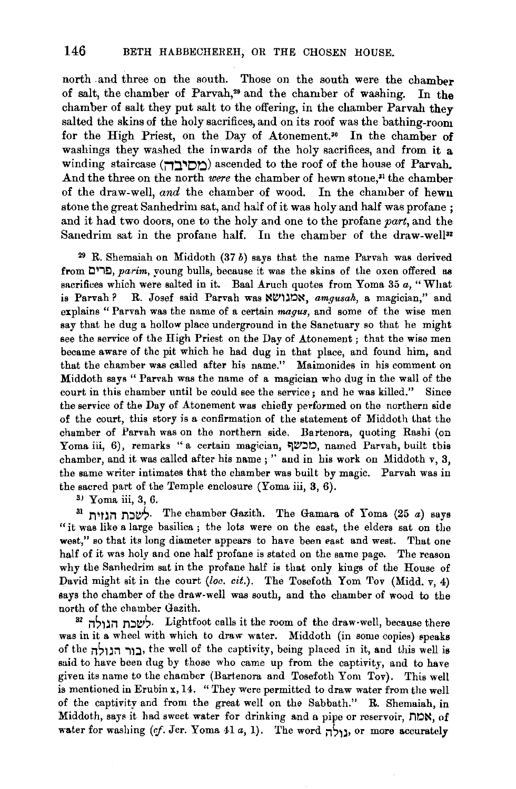north .and three on the south. Those on the south were the chamber of salt, the chamber of Parvah,<sup>29</sup> and the chamber of washing. In the chamber of salt they put salt to the offering, in the chamber Parvah they salted the skins of the holy sacrifices, and on its roof was the bathing-room for the High Priest, on the Day of Atonement.<sup>30</sup> In the chamber of washings they washed the inwards of the holy sacrifices, and from it a winding staircase (<u>מסיבה)</u> ascended to the roof of the house of Parvah. And the three on the north *were* the chamber of hewn stone,<sup>31</sup> the chamber of the draw-well, *and* the chamber of wood. In the chamber of hewu stone the great Sanhedrim sat, and half of it was holy and half was profane ; and it had two doors, one to the holy and one to the profane *part,* and the Sanedrim sat in the profane half. In the chamber of the draw-well<sup>32</sup>

 $29$  R. Shemaiah on Middoth (37 b) says that the name Parvah was derived from Cli!), *parirn,* young bulls, because it was the skins of the oxen offered as sacrifices which were salted in it. Baal Aruch quotes from Yoma 35 *a,"* What is Parvah? R. Josef said Parvah was **x** ואמגושא, *amgusah*, a magician," and explains " Parvah was the name of a certain *magus,* and some of the wise men say that he dug a hollow place underground in the Sanctuary so that he might see the service of the High Priest on the Day of Atonement ; that the wise men became aware of the pit which he had dug in that place, and found him, and that the chamber was called after his name." Maimonides in his comment on Middoth says " Parvah was the name of a magician who dug in the wall of the court in this chamber until he could see the service; and he was killed." Since the service of the Day of Atonement was chiefly performed on the northern side of the court, this story is a confirmation of the statement of Middoth that the chamber of Parvah was on the northern side. Bartenora, quoting Rashi (on Yoma iii, 6), remarks "a certain magician, בכשף, named Parvah, built this chamber, and it was called after his name ; " and in his work on Middoth v, 3, the same writer intimates that the chamber was built by magic. Parvah was in the sacred part of the Temple enclosure (Yoma iii, 3, 6).

 $3$  Yoma iii, 3, 6.

<sup>31</sup> לשכת הנוות. The chamber Gazith. The Gamara of Yoma (25 a) says "it was like a large basilica ; the lots were on the east, the elders sat on the west," so that its long diameter appears to have been east and west. That one half of it was holy and one half profane is stated on the same page. The reason why the Sanhedrim sat in the profane half is that only kings of the House of David might sit in the court *(loc. cit.)*. The Tosefoth Yom Tov (Midd. v, 4) says the chamber of the draw-well was south, and the chamber of wood to the north of the chamber Gazith.<br>32 أשבח הנולה. Lightfoot calls it the room of the draw-well, because there

was in it a wheel with which to draw water. Middoth (in some copies) speaks of the il~l~il il:l• the well of the captivity, being placed in it, and this well is said to have been dug by those who came up from the captivity, and to have given its name to the chamber (Bartenora and Tosefoth Yom Tov). This well is mentioned in Erubin x, 14. "They were permitted to draw water from the well of the captivity and from the great well on the Sabbath." R. Shemaiah, in Middoth, says it had sweet water for drinking and a pipe or reservoir,  $n \times$ , of water for washing *(cf. Jer. Yoma 41 a, 1)*. The word  $\frac{1}{n}$ , or more accurately